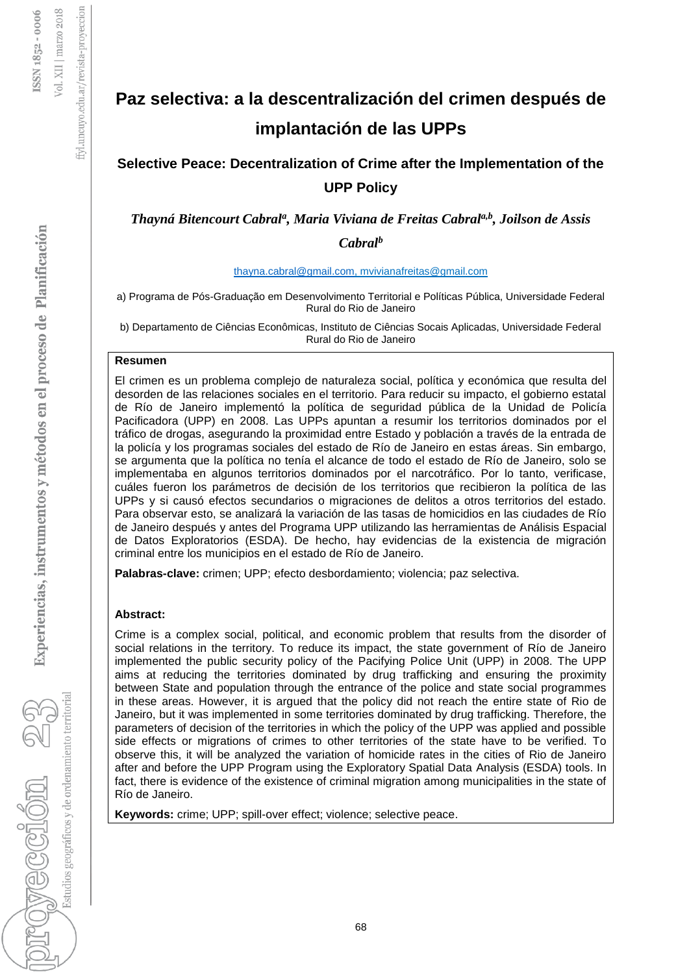# ffyl.uncuyo.edu.ar/revista-proyeccion

# Experiencias, instrumentos y métodos en el proceso de Planificación

Estudios geográficos y de ordenamiento territoria rovección 22

# **Paz selectiva: a la descentralización del crimen después de implantación de las UPPs**

# **Selective Peace: Decentralization of Crime after the Implementation of the UPP Policy**

*Thayná Bitencourt Cabral<sup>a</sup> , Maria Viviana de Freitas Cabrala,b, Joilson de Assis Cabral<sup>b</sup>*

### [thayna.cabral@gmail.com,](mailto:thayna.cabral@gmail.com) mvivianafreitas@gmail.com

a) Programa de Pós-Graduação em Desenvolvimento Territorial e Políticas Pública, Universidade Federal Rural do Rio de Janeiro

b) Departamento de Ciências Econômicas, Instituto de Ciências Socais Aplicadas, Universidade Federal Rural do Rio de Janeiro

### **Resumen**

El crimen es un problema complejo de naturaleza social, política y económica que resulta del desorden de las relaciones sociales en el territorio. Para reducir su impacto, el gobierno estatal de Río de Janeiro implementó la política de seguridad pública de la Unidad de Policía Pacificadora (UPP) en 2008. Las UPPs apuntan a resumir los territorios dominados por el tráfico de drogas, asegurando la proximidad entre Estado y población a través de la entrada de la policía y los programas sociales del estado de Río de Janeiro en estas áreas. Sin embargo, se argumenta que la política no tenía el alcance de todo el estado de Río de Janeiro, solo se implementaba en algunos territorios dominados por el narcotráfico. Por lo tanto, verificase, cuáles fueron los parámetros de decisión de los territorios que recibieron la política de las UPPs y si causó efectos secundarios o migraciones de delitos a otros territorios del estado. Para observar esto, se analizará la variación de las tasas de homicidios en las ciudades de Río de Janeiro después y antes del Programa UPP utilizando las herramientas de Análisis Espacial de Datos Exploratorios (ESDA). De hecho, hay evidencias de la existencia de migración criminal entre los municipios en el estado de Río de Janeiro.

**Palabras-clave:** crimen; UPP; efecto desbordamiento; violencia; paz selectiva.

### **Abstract:**

Crime is a complex social, political, and economic problem that results from the disorder of social relations in the territory. To reduce its impact, the state government of Río de Janeiro implemented the public security policy of the Pacifying Police Unit (UPP) in 2008. The UPP aims at reducing the territories dominated by drug trafficking and ensuring the proximity between State and population through the entrance of the police and state social programmes in these areas. However, it is argued that the policy did not reach the entire state of Rio de Janeiro, but it was implemented in some territories dominated by drug trafficking. Therefore, the parameters of decision of the territories in which the policy of the UPP was applied and possible side effects or migrations of crimes to other territories of the state have to be verified. To observe this, it will be analyzed the variation of homicide rates in the cities of Rio de Janeiro after and before the UPP Program using the Exploratory Spatial Data Analysis (ESDA) tools. In fact, there is evidence of the existence of criminal migration among municipalities in the state of Río de Janeiro.

**Keywords:** crime; UPP; spill-over effect; violence; selective peace.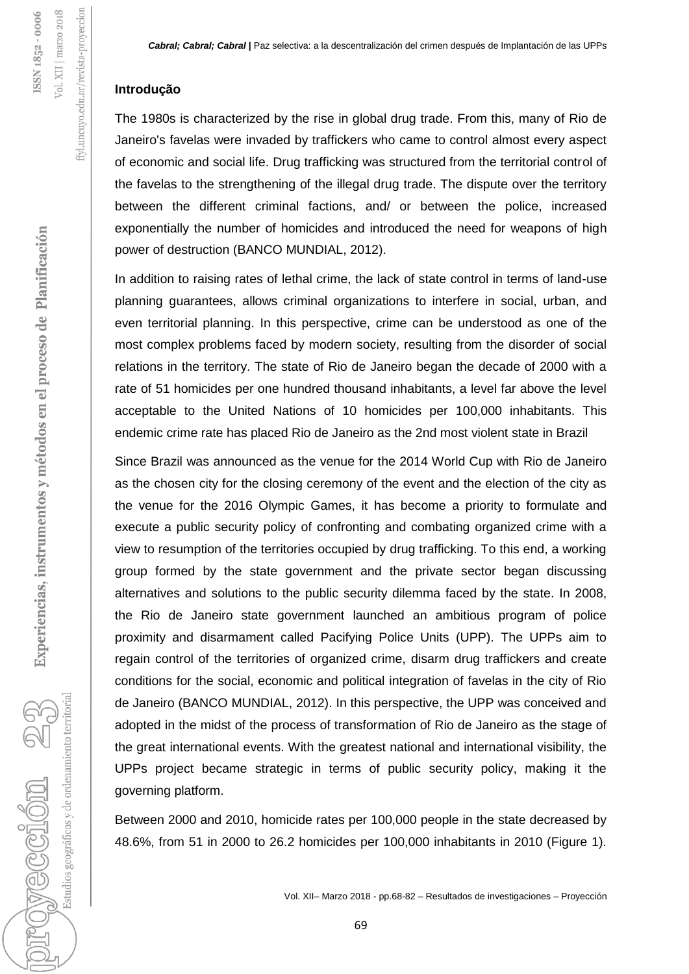### **Introdução**

The 1980s is characterized by the rise in global drug trade. From this, many of Rio de Janeiro's favelas were invaded by traffickers who came to control almost every aspect of economic and social life. Drug trafficking was structured from the territorial control of the favelas to the strengthening of the illegal drug trade. The dispute over the territory between the different criminal factions, and/ or between the police, increased exponentially the number of homicides and introduced the need for weapons of high power of destruction (BANCO MUNDIAL, 2012).

In addition to raising rates of lethal crime, the lack of state control in terms of land-use planning guarantees, allows criminal organizations to interfere in social, urban, and even territorial planning. In this perspective, crime can be understood as one of the most complex problems faced by modern society, resulting from the disorder of social relations in the territory. The state of Rio de Janeiro began the decade of 2000 with a rate of 51 homicides per one hundred thousand inhabitants, a level far above the level acceptable to the United Nations of 10 homicides per 100,000 inhabitants. This endemic crime rate has placed Rio de Janeiro as the 2nd most violent state in Brazil

Since Brazil was announced as the venue for the 2014 World Cup with Rio de Janeiro as the chosen city for the closing ceremony of the event and the election of the city as the venue for the 2016 Olympic Games, it has become a priority to formulate and execute a public security policy of confronting and combating organized crime with a view to resumption of the territories occupied by drug trafficking. To this end, a working group formed by the state government and the private sector began discussing alternatives and solutions to the public security dilemma faced by the state. In 2008, the Rio de Janeiro state government launched an ambitious program of police proximity and disarmament called Pacifying Police Units (UPP). The UPPs aim to regain control of the territories of organized crime, disarm drug traffickers and create conditions for the social, economic and political integration of favelas in the city of Rio de Janeiro (BANCO MUNDIAL, 2012). In this perspective, the UPP was conceived and adopted in the midst of the process of transformation of Rio de Janeiro as the stage of the great international events. With the greatest national and international visibility, the UPPs project became strategic in terms of public security policy, making it the governing platform.

Between 2000 and 2010, homicide rates per 100,000 people in the state decreased by 48.6%, from 51 in 2000 to 26.2 homicides per 100,000 inhabitants in 2010 (Figure 1).

Estudios geográficos y de ordenamiento territorial

royeccion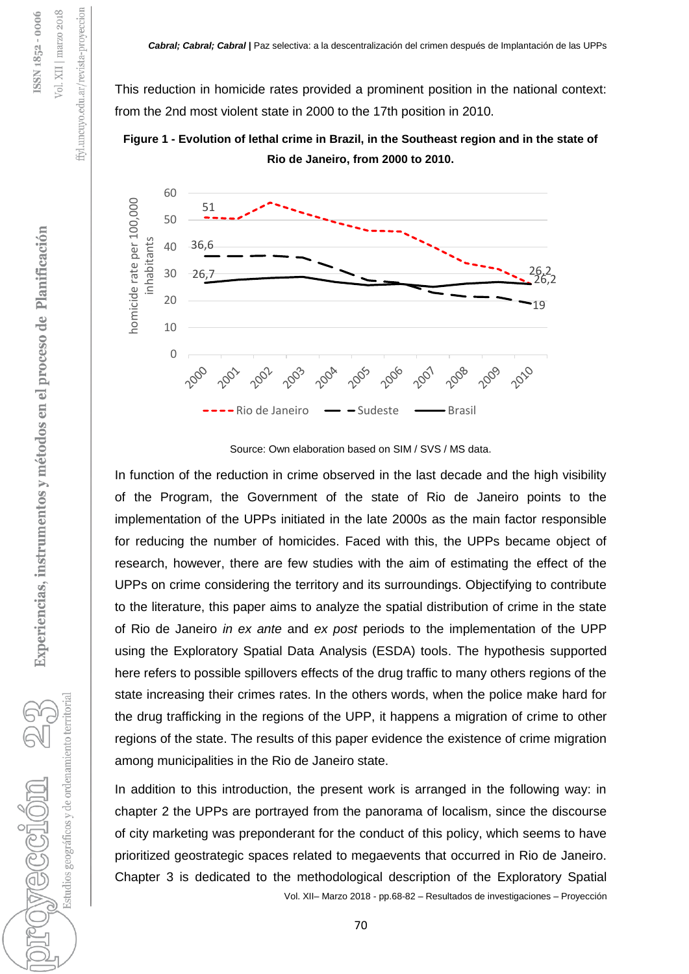This reduction in homicide rates provided a prominent position in the national context: from the 2nd most violent state in 2000 to the 17th position in 2010.

**Figure 1 - Evolution of lethal crime in Brazil, in the Southeast region and in the state of Rio de Janeiro, from 2000 to 2010.**



Source: Own elaboration based on SIM / SVS / MS data.

In function of the reduction in crime observed in the last decade and the high visibility of the Program, the Government of the state of Rio de Janeiro points to the implementation of the UPPs initiated in the late 2000s as the main factor responsible for reducing the number of homicides. Faced with this, the UPPs became object of research, however, there are few studies with the aim of estimating the effect of the UPPs on crime considering the territory and its surroundings. Objectifying to contribute to the literature, this paper aims to analyze the spatial distribution of crime in the state of Rio de Janeiro *in ex ante* and *ex post* periods to the implementation of the UPP using the Exploratory Spatial Data Analysis (ESDA) tools. The hypothesis supported here refers to possible spillovers effects of the drug traffic to many others regions of the state increasing their crimes rates. In the others words, when the police make hard for the drug trafficking in the regions of the UPP, it happens a migration of crime to other regions of the state. The results of this paper evidence the existence of crime migration among municipalities in the Rio de Janeiro state.

Vol. XII– Marzo 2018 - pp.68-82 – Resultados de investigaciones – Proyección In addition to this introduction, the present work is arranged in the following way: in chapter 2 the UPPs are portrayed from the panorama of localism, since the discourse of city marketing was preponderant for the conduct of this policy, which seems to have prioritized geostrategic spaces related to megaevents that occurred in Rio de Janeiro. Chapter 3 is dedicated to the methodological description of the Exploratory Spatial

Experiencias, instrumentos y métodos en el proceso de Planificación

ffyl.uncuyo.edu.ar/revista-proyeccion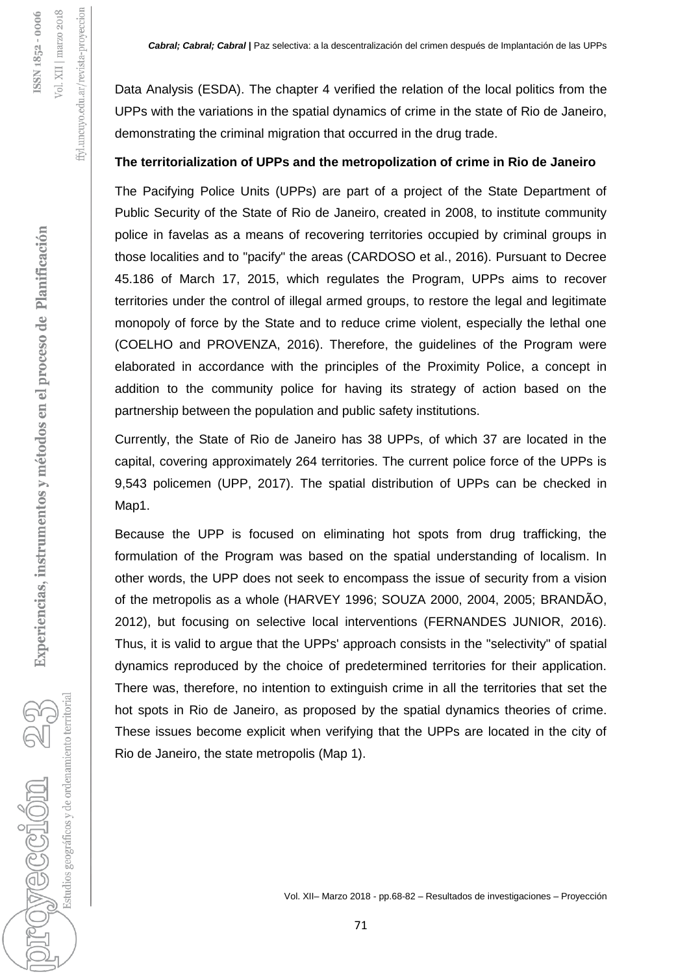ffyl.uncuyo.edu.ar/revista-proyeccion

Data Analysis (ESDA). The chapter 4 verified the relation of the local politics from the UPPs with the variations in the spatial dynamics of crime in the state of Rio de Janeiro, demonstrating the criminal migration that occurred in the drug trade.

### **The territorialization of UPPs and the metropolization of crime in Rio de Janeiro**

The Pacifying Police Units (UPPs) are part of a project of the State Department of Public Security of the State of Rio de Janeiro, created in 2008, to institute community police in favelas as a means of recovering territories occupied by criminal groups in those localities and to "pacify" the areas (CARDOSO et al., 2016). Pursuant to Decree 45.186 of March 17, 2015, which regulates the Program, UPPs aims to recover territories under the control of illegal armed groups, to restore the legal and legitimate monopoly of force by the State and to reduce crime violent, especially the lethal one (COELHO and PROVENZA, 2016). Therefore, the guidelines of the Program were elaborated in accordance with the principles of the Proximity Police, a concept in addition to the community police for having its strategy of action based on the partnership between the population and public safety institutions.

Currently, the State of Rio de Janeiro has 38 UPPs, of which 37 are located in the capital, covering approximately 264 territories. The current police force of the UPPs is 9,543 policemen (UPP, 2017). The spatial distribution of UPPs can be checked in Map<sub>1</sub>.

Because the UPP is focused on eliminating hot spots from drug trafficking, the formulation of the Program was based on the spatial understanding of localism. In other words, the UPP does not seek to encompass the issue of security from a vision of the metropolis as a whole (HARVEY 1996; SOUZA 2000, 2004, 2005; BRANDÃO, 2012), but focusing on selective local interventions (FERNANDES JUNIOR, 2016). Thus, it is valid to argue that the UPPs' approach consists in the "selectivity" of spatial dynamics reproduced by the choice of predetermined territories for their application. There was, therefore, no intention to extinguish crime in all the territories that set the hot spots in Rio de Janeiro, as proposed by the spatial dynamics theories of crime. These issues become explicit when verifying that the UPPs are located in the city of Rio de Janeiro, the state metropolis (Map 1).

Estudios geográficos y de ordenamiento territorial

provección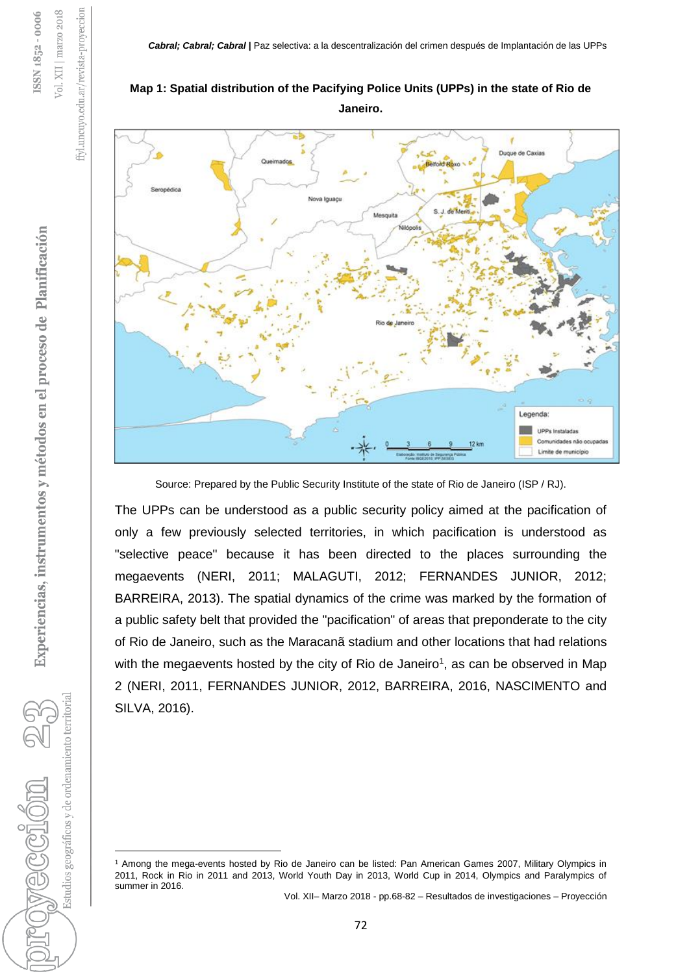



Source: Prepared by the Public Security Institute of the state of Rio de Janeiro (ISP / RJ).

The UPPs can be understood as a public security policy aimed at the pacification of only a few previously selected territories, in which pacification is understood as "selective peace" because it has been directed to the places surrounding the megaevents (NERI, 2011; MALAGUTI, 2012; FERNANDES JUNIOR, 2012; BARREIRA, 2013). The spatial dynamics of the crime was marked by the formation of a public safety belt that provided the "pacification" of areas that preponderate to the city of Rio de Janeiro, such as the Maracanã stadium and other locations that had relations with the megaevents hosted by the city of Rio de Janeiro<sup>1</sup>, as can be observed in Map 2 (NERI, 2011, FERNANDES JUNIOR, 2012, BARREIRA, 2016, NASCIMENTO and SILVA, 2016).

Vol. XII– Marzo 2018 - pp.68-82 – Resultados de investigaciones – Proyección

ffyl.uncuyo.edu.ar/revista-proyeccion

Vol. XII | marzo 2018 ISSN 1852-0006

Estudios geográficos y de ordenamiento territorial

 $\ddot{\phantom{a}}$ 

<sup>1</sup> Among the mega-events hosted by Rio de Janeiro can be listed: Pan American Games 2007, Military Olympics in 2011, Rock in Rio in 2011 and 2013, World Youth Day in 2013, World Cup in 2014, Olympics and Paralympics of summer in 2016.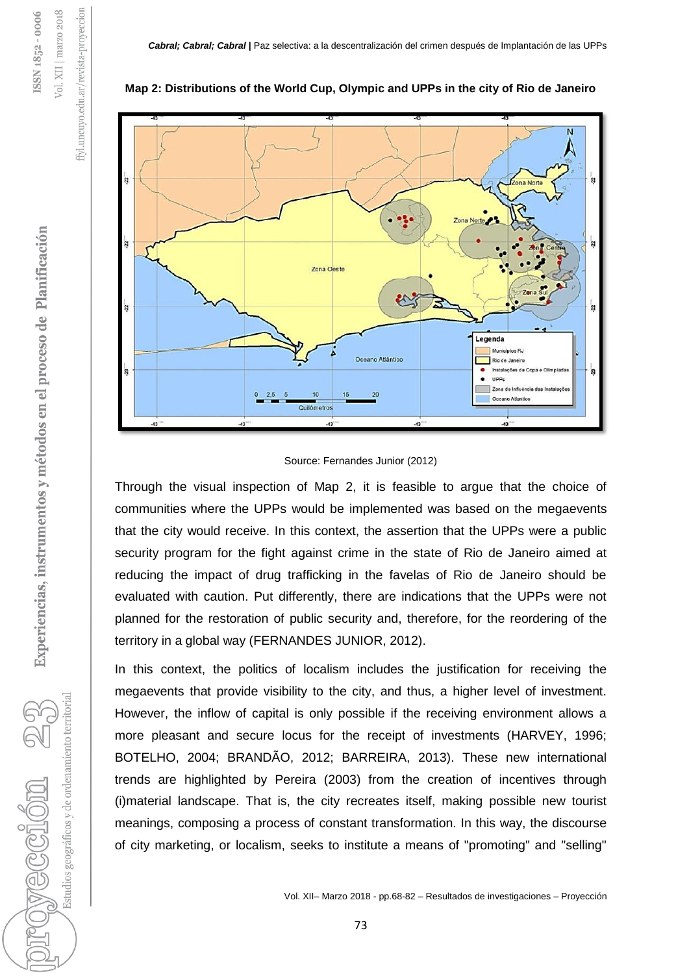



### Source: Fernandes Junior (2012)

Through the visual inspection of Map 2, it is feasible to argue that the choice of communities where the UPPs would be implemented was based on the megaevents that the city would receive. In this context, the assertion that the UPPs were a public security program for the fight against crime in the state of Rio de Janeiro aimed at reducing the impact of drug trafficking in the favelas of Rio de Janeiro should be evaluated with caution. Put differently, there are indications that the UPPs were not planned for the restoration of public security and, therefore, for the reordering of the territory in a global way (FERNANDES JUNIOR, 2012).

In this context, the politics of localism includes the justification for receiving the megaevents that provide visibility to the city, and thus, a higher level of investment. However, the inflow of capital is only possible if the receiving environment allows a more pleasant and secure locus for the receipt of investments (HARVEY, 1996; BOTELHO, 2004; BRANDÃO, 2012; BARREIRA, 2013). These new international trends are highlighted by Pereira (2003) from the creation of incentives through (i)material landscape. That is, the city recreates itself, making possible new tourist meanings, composing a process of constant transformation. In this way, the discourse of city marketing, or localism, seeks to institute a means of "promoting" and "selling"

Estudios geográficos y de ordenamiento territorial

ffyl.uncuyo.edu.ar/revista-proyeccion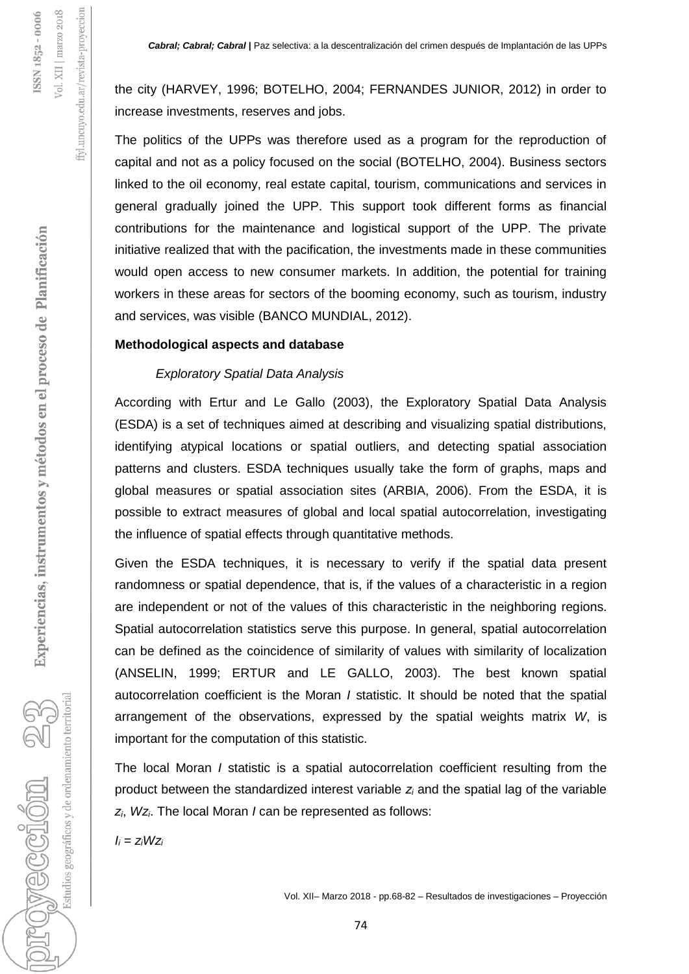the city (HARVEY, 1996; BOTELHO, 2004; FERNANDES JUNIOR, 2012) in order to increase investments, reserves and jobs.

The politics of the UPPs was therefore used as a program for the reproduction of capital and not as a policy focused on the social (BOTELHO, 2004). Business sectors linked to the oil economy, real estate capital, tourism, communications and services in general gradually joined the UPP. This support took different forms as financial contributions for the maintenance and logistical support of the UPP. The private initiative realized that with the pacification, the investments made in these communities would open access to new consumer markets. In addition, the potential for training workers in these areas for sectors of the booming economy, such as tourism, industry and services, was visible (BANCO MUNDIAL, 2012).

### **Methodological aspects and database**

### *Exploratory Spatial Data Analysis*

According with Ertur and Le Gallo (2003), the Exploratory Spatial Data Analysis (ESDA) is a set of techniques aimed at describing and visualizing spatial distributions, identifying atypical locations or spatial outliers, and detecting spatial association patterns and clusters. ESDA techniques usually take the form of graphs, maps and global measures or spatial association sites (ARBIA, 2006). From the ESDA, it is possible to extract measures of global and local spatial autocorrelation, investigating the influence of spatial effects through quantitative methods.

Given the ESDA techniques, it is necessary to verify if the spatial data present randomness or spatial dependence, that is, if the values of a characteristic in a region are independent or not of the values of this characteristic in the neighboring regions. Spatial autocorrelation statistics serve this purpose. In general, spatial autocorrelation can be defined as the coincidence of similarity of values with similarity of localization (ANSELIN, 1999; ERTUR and LE GALLO, 2003). The best known spatial autocorrelation coefficient is the Moran *I* statistic. It should be noted that the spatial arrangement of the observations, expressed by the spatial weights matrix *W*, is important for the computation of this statistic.

The local Moran *I* statistic is a spatial autocorrelation coefficient resulting from the product between the standardized interest variable *z<sup>i</sup>* and the spatial lag of the variable *zi*, *Wzi*. The local Moran *I* can be represented as follows:

 $I_i = z_iWz_i$ 

Estudios geográficos y de ordenamiento territorial

provection 2

ffyl.uncuyo.edu.ar/revista-proyeccion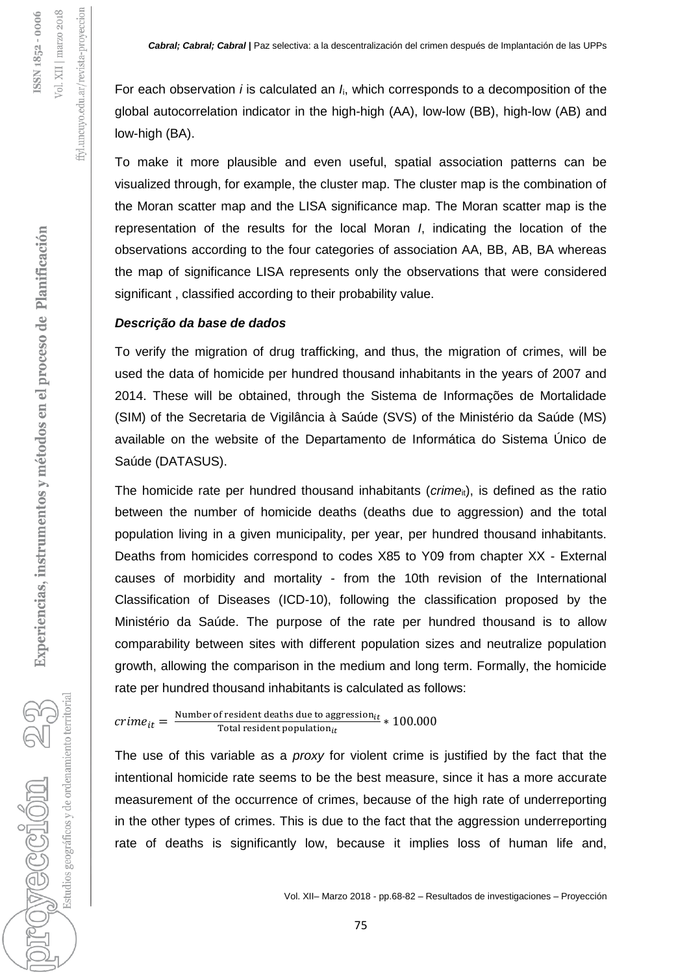For each observation *i* is calculated an *I*i, which corresponds to a decomposition of the global autocorrelation indicator in the high-high (AA), low-low (BB), high-low (AB) and low-high (BA).

To make it more plausible and even useful, spatial association patterns can be visualized through, for example, the cluster map. The cluster map is the combination of the Moran scatter map and the LISA significance map. The Moran scatter map is the representation of the results for the local Moran *I*, indicating the location of the observations according to the four categories of association AA, BB, AB, BA whereas the map of significance LISA represents only the observations that were considered significant , classified according to their probability value.

### *Descrição da base de dados*

To verify the migration of drug trafficking, and thus, the migration of crimes, will be used the data of homicide per hundred thousand inhabitants in the years of 2007 and 2014. These will be obtained, through the Sistema de Informações de Mortalidade (SIM) of the Secretaria de Vigilância à Saúde (SVS) of the Ministério da Saúde (MS) available on the website of the Departamento de Informática do Sistema Único de Saúde (DATASUS).

The homicide rate per hundred thousand inhabitants ( $c$ *rime*<sub>it</sub>), is defined as the ratio between the number of homicide deaths (deaths due to aggression) and the total population living in a given municipality, per year, per hundred thousand inhabitants. Deaths from homicides correspond to codes X85 to Y09 from chapter XX - External causes of morbidity and mortality - from the 10th revision of the International Classification of Diseases (ICD-10), following the classification proposed by the Ministério da Saúde. The purpose of the rate per hundred thousand is to allow comparability between sites with different population sizes and neutralize population growth, allowing the comparison in the medium and long term. Formally, the homicide rate per hundred thousand inhabitants is calculated as follows:

 $\textit{ crime}_{it} = \frac{\text{Number of resident deaths due to aggregation}_{it}}{\text{Total resident population}_{it}} * 100.000$ Total resident population $_{it}$ 

The use of this variable as a *proxy* for violent crime is justified by the fact that the intentional homicide rate seems to be the best measure, since it has a more accurate measurement of the occurrence of crimes, because of the high rate of underreporting in the other types of crimes. This is due to the fact that the aggression underreporting rate of deaths is significantly low, because it implies loss of human life and,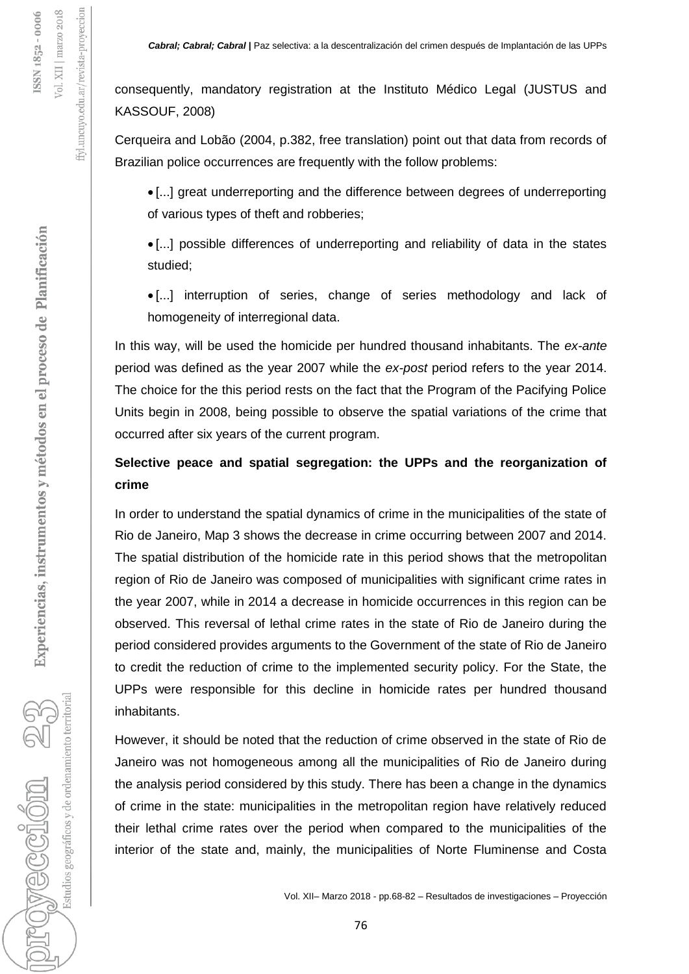consequently, mandatory registration at the Instituto Médico Legal (JUSTUS and KASSOUF, 2008)

Cerqueira and Lobão (2004, p.382, free translation) point out that data from records of Brazilian police occurrences are frequently with the follow problems:

 [...] great underreporting and the difference between degrees of underreporting of various types of theft and robberies;

 [...] possible differences of underreporting and reliability of data in the states studied;

 [...] interruption of series, change of series methodology and lack of homogeneity of interregional data.

In this way, will be used the homicide per hundred thousand inhabitants. The *ex-ante* period was defined as the year 2007 while the *ex-post* period refers to the year 2014. The choice for the this period rests on the fact that the Program of the Pacifying Police Units begin in 2008, being possible to observe the spatial variations of the crime that occurred after six years of the current program.

## **Selective peace and spatial segregation: the UPPs and the reorganization of crime**

In order to understand the spatial dynamics of crime in the municipalities of the state of Rio de Janeiro, Map 3 shows the decrease in crime occurring between 2007 and 2014. The spatial distribution of the homicide rate in this period shows that the metropolitan region of Rio de Janeiro was composed of municipalities with significant crime rates in the year 2007, while in 2014 a decrease in homicide occurrences in this region can be observed. This reversal of lethal crime rates in the state of Rio de Janeiro during the period considered provides arguments to the Government of the state of Rio de Janeiro to credit the reduction of crime to the implemented security policy. For the State, the UPPs were responsible for this decline in homicide rates per hundred thousand inhabitants.

However, it should be noted that the reduction of crime observed in the state of Rio de Janeiro was not homogeneous among all the municipalities of Rio de Janeiro during the analysis period considered by this study. There has been a change in the dynamics of crime in the state: municipalities in the metropolitan region have relatively reduced their lethal crime rates over the period when compared to the municipalities of the interior of the state and, mainly, the municipalities of Norte Fluminense and Costa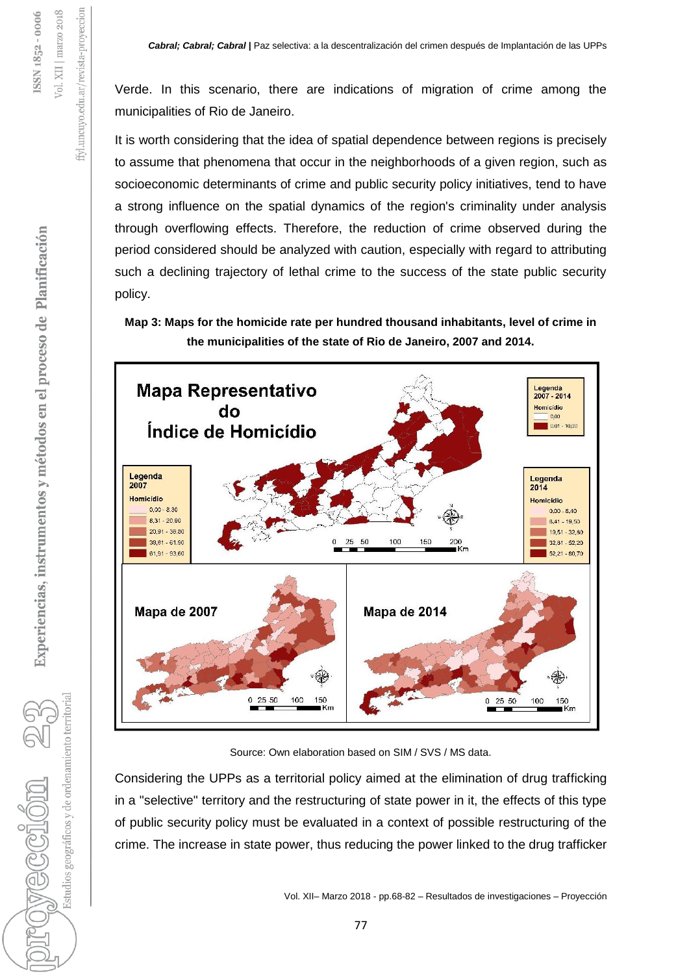Verde. In this scenario, there are indications of migration of crime among the municipalities of Rio de Janeiro.

It is worth considering that the idea of spatial dependence between regions is precisely to assume that phenomena that occur in the neighborhoods of a given region, such as socioeconomic determinants of crime and public security policy initiatives, tend to have a strong influence on the spatial dynamics of the region's criminality under analysis through overflowing effects. Therefore, the reduction of crime observed during the period considered should be analyzed with caution, especially with regard to attributing such a declining trajectory of lethal crime to the success of the state public security policy.

**Map 3: Maps for the homicide rate per hundred thousand inhabitants, level of crime in the municipalities of the state of Rio de Janeiro, 2007 and 2014.**



Source: Own elaboration based on SIM / SVS / MS data.

Considering the UPPs as a territorial policy aimed at the elimination of drug trafficking in a "selective" territory and the restructuring of state power in it, the effects of this type of public security policy must be evaluated in a context of possible restructuring of the crime. The increase in state power, thus reducing the power linked to the drug trafficker

Estudios geográficos y de ordenamiento territorial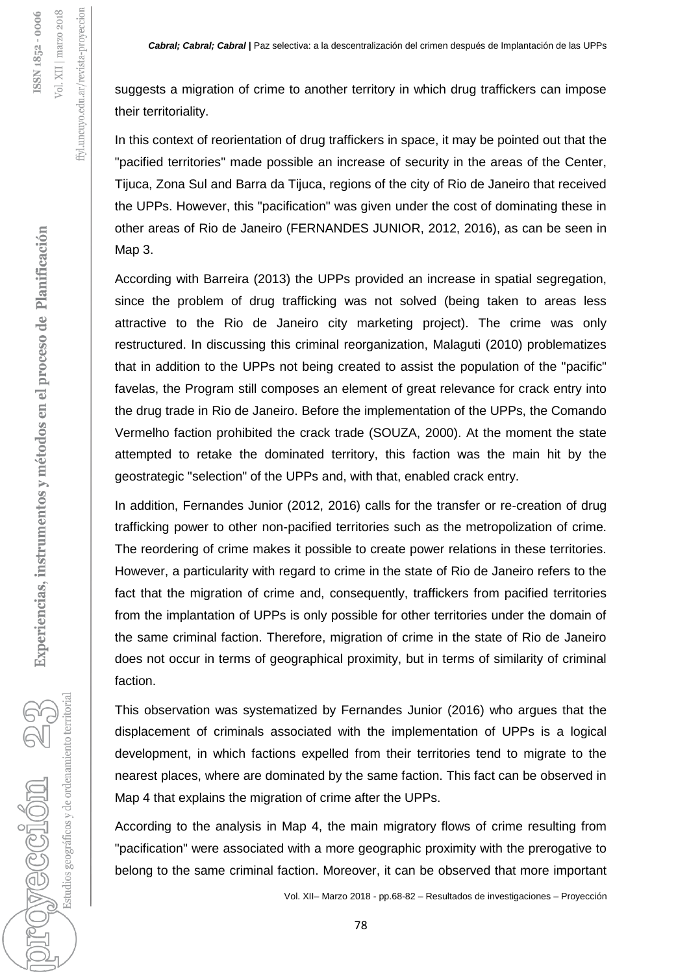suggests a migration of crime to another territory in which drug traffickers can impose their territoriality.

In this context of reorientation of drug traffickers in space, it may be pointed out that the "pacified territories" made possible an increase of security in the areas of the Center, Tijuca, Zona Sul and Barra da Tijuca, regions of the city of Rio de Janeiro that received the UPPs. However, this "pacification" was given under the cost of dominating these in other areas of Rio de Janeiro (FERNANDES JUNIOR, 2012, 2016), as can be seen in Map 3.

According with Barreira (2013) the UPPs provided an increase in spatial segregation, since the problem of drug trafficking was not solved (being taken to areas less attractive to the Rio de Janeiro city marketing project). The crime was only restructured. In discussing this criminal reorganization, Malaguti (2010) problematizes that in addition to the UPPs not being created to assist the population of the "pacific" favelas, the Program still composes an element of great relevance for crack entry into the drug trade in Rio de Janeiro. Before the implementation of the UPPs, the Comando Vermelho faction prohibited the crack trade (SOUZA, 2000). At the moment the state attempted to retake the dominated territory, this faction was the main hit by the geostrategic "selection" of the UPPs and, with that, enabled crack entry.

In addition, Fernandes Junior (2012, 2016) calls for the transfer or re-creation of drug trafficking power to other non-pacified territories such as the metropolization of crime. The reordering of crime makes it possible to create power relations in these territories. However, a particularity with regard to crime in the state of Rio de Janeiro refers to the fact that the migration of crime and, consequently, traffickers from pacified territories from the implantation of UPPs is only possible for other territories under the domain of the same criminal faction. Therefore, migration of crime in the state of Rio de Janeiro does not occur in terms of geographical proximity, but in terms of similarity of criminal faction.

This observation was systematized by Fernandes Junior (2016) who argues that the displacement of criminals associated with the implementation of UPPs is a logical development, in which factions expelled from their territories tend to migrate to the nearest places, where are dominated by the same faction. This fact can be observed in Map 4 that explains the migration of crime after the UPPs.

According to the analysis in Map 4, the main migratory flows of crime resulting from "pacification" were associated with a more geographic proximity with the prerogative to belong to the same criminal faction. Moreover, it can be observed that more important

Vol. XII– Marzo 2018 - pp.68-82 – Resultados de investigaciones – Proyección

Estudios geográficos y de ordenamiento territorial

roweccion

ffyl.uncuyo.edu.ar/revista-proyeccion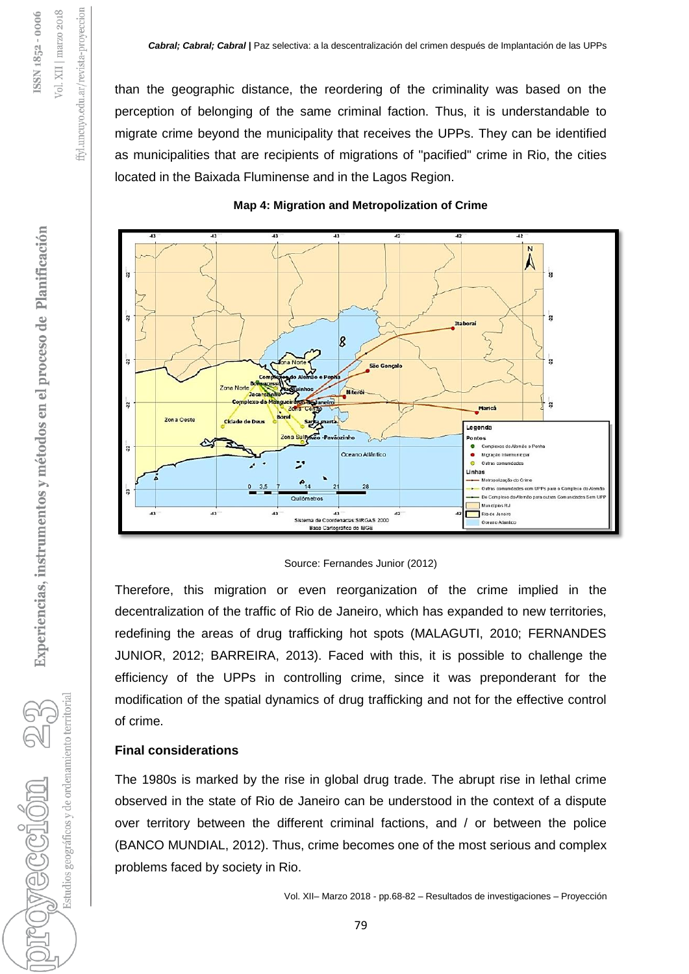than the geographic distance, the reordering of the criminality was based on the perception of belonging of the same criminal faction. Thus, it is understandable to migrate crime beyond the municipality that receives the UPPs. They can be identified as municipalities that are recipients of migrations of "pacified" crime in Rio, the cities located in the Baixada Fluminense and in the Lagos Region.



### **Map 4: Migration and Metropolization of Crime**

Source: Fernandes Junior (2012)

Therefore, this migration or even reorganization of the crime implied in the decentralization of the traffic of Rio de Janeiro, which has expanded to new territories, redefining the areas of drug trafficking hot spots (MALAGUTI, 2010; FERNANDES JUNIOR, 2012; BARREIRA, 2013). Faced with this, it is possible to challenge the efficiency of the UPPs in controlling crime, since it was preponderant for the modification of the spatial dynamics of drug trafficking and not for the effective control of crime.

### **Final considerations**

The 1980s is marked by the rise in global drug trade. The abrupt rise in lethal crime observed in the state of Rio de Janeiro can be understood in the context of a dispute over territory between the different criminal factions, and / or between the police (BANCO MUNDIAL, 2012). Thus, crime becomes one of the most serious and complex problems faced by society in Rio.

Estudios geográficos y de ordenamiento territorial

uncuyo.edu.ar/revista-proyeccion

£F.

ISSN 1852-0006 Vol. XII | marzo 2018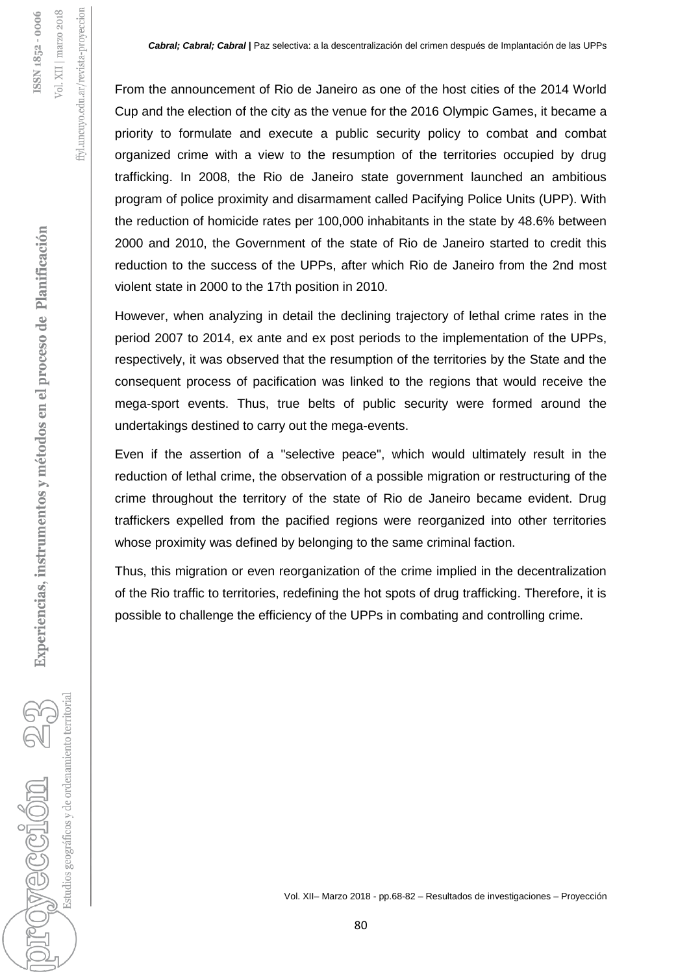From the announcement of Rio de Janeiro as one of the host cities of the 2014 World Cup and the election of the city as the venue for the 2016 Olympic Games, it became a priority to formulate and execute a public security policy to combat and combat organized crime with a view to the resumption of the territories occupied by drug trafficking. In 2008, the Rio de Janeiro state government launched an ambitious program of police proximity and disarmament called Pacifying Police Units (UPP). With the reduction of homicide rates per 100,000 inhabitants in the state by 48.6% between 2000 and 2010, the Government of the state of Rio de Janeiro started to credit this reduction to the success of the UPPs, after which Rio de Janeiro from the 2nd most violent state in 2000 to the 17th position in 2010.

However, when analyzing in detail the declining trajectory of lethal crime rates in the period 2007 to 2014, ex ante and ex post periods to the implementation of the UPPs, respectively, it was observed that the resumption of the territories by the State and the consequent process of pacification was linked to the regions that would receive the mega-sport events. Thus, true belts of public security were formed around the undertakings destined to carry out the mega-events.

Even if the assertion of a "selective peace", which would ultimately result in the reduction of lethal crime, the observation of a possible migration or restructuring of the crime throughout the territory of the state of Rio de Janeiro became evident. Drug traffickers expelled from the pacified regions were reorganized into other territories whose proximity was defined by belonging to the same criminal faction.

Thus, this migration or even reorganization of the crime implied in the decentralization of the Rio traffic to territories, redefining the hot spots of drug trafficking. Therefore, it is possible to challenge the efficiency of the UPPs in combating and controlling crime.

Estudios geográficos y de ordenamiento territoria

provección 2

ffyl.uncuyo.edu.ar/revista-proyeccion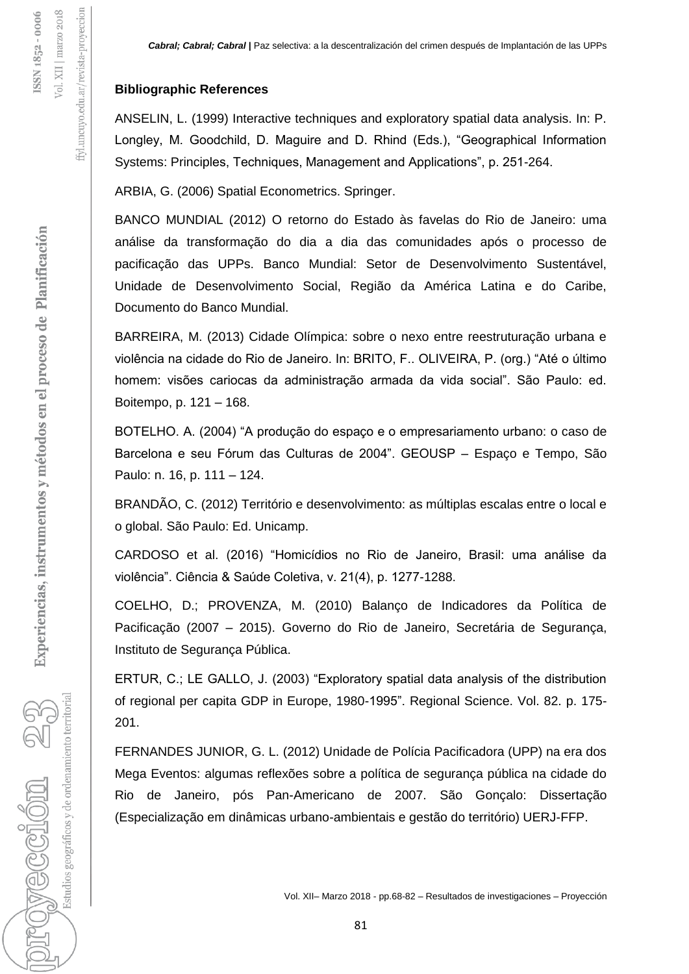### **Bibliographic References**

ffyl.uncuyo.edu.ar/revista-proyeccion

Vol. XII | marzo 2018 SSN 1852-0006

> ANSELIN, L. (1999) Interactive techniques and exploratory spatial data analysis. In: P. Longley, M. Goodchild, D. Maguire and D. Rhind (Eds.), "Geographical Information Systems: Principles, Techniques, Management and Applications", p. 251-264.

ARBIA, G. (2006) Spatial Econometrics. Springer.

BANCO MUNDIAL (2012) O retorno do Estado às favelas do Rio de Janeiro: uma análise da transformação do dia a dia das comunidades após o processo de pacificação das UPPs. Banco Mundial: Setor de Desenvolvimento Sustentável, Unidade de Desenvolvimento Social, Região da América Latina e do Caribe, Documento do Banco Mundial.

BARREIRA, M. (2013) Cidade Olímpica: sobre o nexo entre reestruturação urbana e violência na cidade do Rio de Janeiro. In: BRITO, F.. OLIVEIRA, P. (org.) "Até o último homem: visões cariocas da administração armada da vida social". São Paulo: ed. Boitempo, p. 121 – 168.

BOTELHO. A. (2004) "A produção do espaço e o empresariamento urbano: o caso de Barcelona e seu Fórum das Culturas de 2004". GEOUSP – Espaço e Tempo, São Paulo: n. 16, p. 111 – 124.

BRANDÃO, C. (2012) Território e desenvolvimento: as múltiplas escalas entre o local e o global. São Paulo: Ed. Unicamp.

CARDOSO et al. (2016) "Homicídios no Rio de Janeiro, Brasil: uma análise da violência". Ciência & Saúde Coletiva, v. 21(4), p. 1277-1288.

COELHO, D.; PROVENZA, M. (2010) Balanço de Indicadores da Política de Pacificação (2007 – 2015). Governo do Rio de Janeiro, Secretária de Segurança, Instituto de Segurança Pública.

ERTUR, C.; LE GALLO, J. (2003) "Exploratory spatial data analysis of the distribution of regional per capita GDP in Europe, 1980-1995". Regional Science. Vol. 82. p. 175- 201.

FERNANDES JUNIOR, G. L. (2012) Unidade de Polícia Pacificadora (UPP) na era dos Mega Eventos: algumas reflexões sobre a política de segurança pública na cidade do Rio de Janeiro, pós Pan-Americano de 2007. São Gonçalo: Dissertação (Especialização em dinâmicas urbano-ambientais e gestão do território) UERJ-FFP.

Estudios geográficos y de ordenamiento territorial

 $\mathbb{C}$  Meccion  $\mathbb{C}$